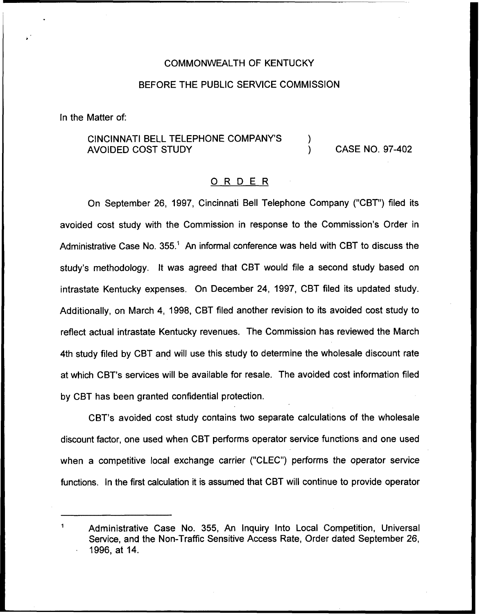## COMMONWEALTH OF KENTUCKY

## BEFORE THE PUBLIC SERVICE COMMISSION

ln the Matter of:

## CINCINNATI BELL TELEPHONE COMPANY'S AVOIDED COST STUDY CASE NO. 97-402

## 0 <sup>R</sup> <sup>D</sup> <sup>E</sup> <sup>R</sup>

On September 26, 1997, Cincinnati Bell Telephone Company ("CBT") filed its avoided cost study with the Commission in response to the Commission's Order in Administrative Case No.  $355<sup>1</sup>$  An informal conference was held with CBT to discuss the study's methodology. It was agreed that CBT would file a second study based on intrastate Kentucky expenses. On December 24, 1997, CBT filed its updated study. Additionally, on March 4, 1998, CBT filed another revision to its avoided cost study to reflect actual intrastate Kentucky revenues. The Commission has reviewed the March 4th study filed by CBT and will use this study to determine the wholesale discount rate at which CBT's services will be available for resale. The avoided cost information filed by CBT has been granted confidential protection.

CBT's avoided cost study contains two separate calculations of the wholesale discount factor, one used when CBT performs operator service functions and one used when a competitive local exchange carrier ("CLEC") performs the operator service functions. In the first calculation it is assumed that CBT will continue to provide operator

Administrative Case No. 355, An Inquiry Into Local Competition, Universal Service, and the Non-Traffic Sensitive Access Rate, Order dated September 26, 1996, at 14.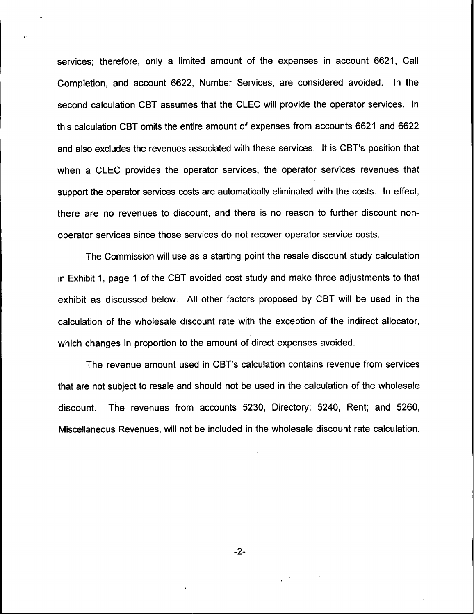services; therefore, only a limited amount of the expenses in account 6621, Call Completion, and account 6622, Number Services, are considered avoided. In the second calculation CBT assumes that the CLEC will provide the operator services. In this calculation CBT omits the entire amount of expenses from accounts 6621 and 6622 and also excludes the revenues associated with these services. It is CBT's position that when a CLEC provides the operator services, the operator services revenues that support the operator services costs are automatically eliminated with the costs. In effect, there are no revenues to discount, and there is no reason to further discount nonoperator services since those services do not recover operator service costs.

The Commission will use as a starting point the resale discount study calculation in Exhibit 1, page <sup>1</sup> of the CBT avoided cost study and make three adjustments to that exhibit as discussed below. All other factors proposed by CBT will be used in the calculation of the wholesale discount rate with the exception of the indirect allocator, which changes in proportion to the amount of direct expenses avoided.

The revenue amount used in CBT's calculation contains revenue from services that are not subject to resale and should not be used in the calculation of the wholesale discount. The revenues from accounts 5230, Directory; 5240, Rent; and 5260, Miscellaneous Revenues, will not be included in the wholesale discount rate calculation.

 $-2-$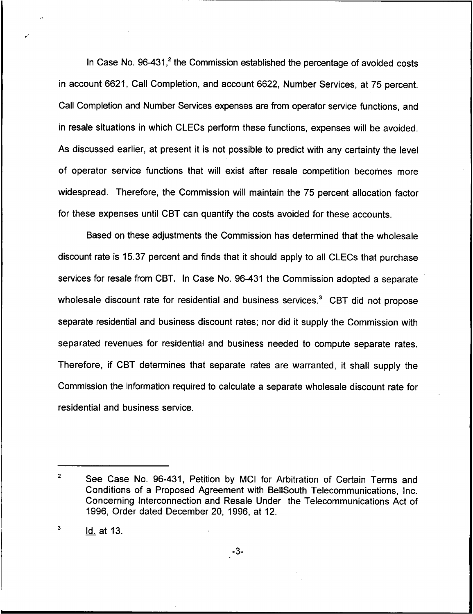In Case No.  $96-431$ <sup>2</sup>, the Commission established the percentage of avoided costs in account 6621, Call Completion, and account 6622, Number Services, at 75 percent. Call Completion and Number Services expenses are from operator service functions, and in resale situations in which CLECs perform these functions, expenses will be avoided. As discussed earlier, at present it is not possible to predict with any certainty the level of operator service functions that will exist after resale competition becomes more widespread. Therefore, the Commission will maintain the 75 percent allocation factor for these expenses until CBT can quantify the costs avoided for these accounts.

Based on these adjustments the Commission has determined that the wholesale discount rate is 15.37 percent and finds that it should apply to all CLECs that purchase services for resale from CBT. In Case No. 96-431 the Commission adopted a separate wholesale discount rate for residential and business services.<sup>3</sup> CBT did not propose separate residential and business discount rates; nor did it supply the Commission with separated revenues for residential and business needed to compute separate rates. Therefore, if CBT determines that separate rates are warranted, it shall supply the Commission the information required to calculate a separate wholesale discount rate for residential and business service.

-3-

 $\overline{2}$ See Case No. 96-431, Petition by MCI for Arbitration of Certain Terms and Conditions of a Proposed Agreement with BellSouth Telecommunications, Inc. Concerning Interconnection and Resale Under the Telecommunications Act of 1996, Order dated December 20, 1996, at 12.

<sup>3</sup> Id. at 13.